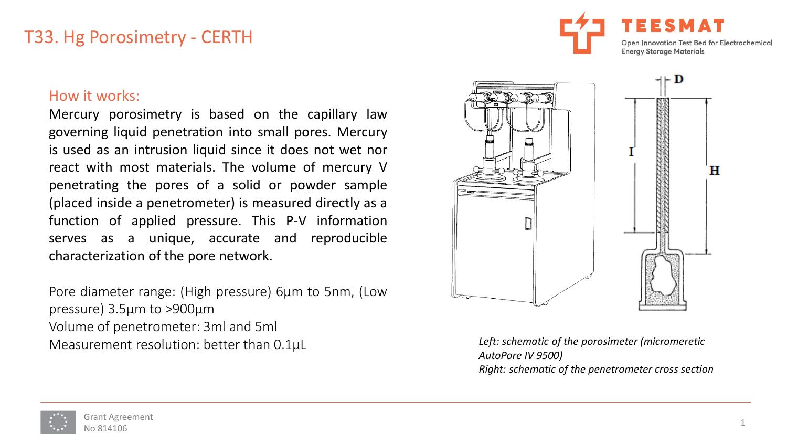# T33. Hg Porosimetry - CERTH



#### How it works:

Mercury porosimetry is based on the capillary law governing liquid penetration into small pores. Mercury is used as an intrusion liquid since it does not wet nor react with most materials. The volume of mercury V penetrating the pores of a solid or powder sample (placed inside a penetrometer) is measured directly as a function of applied pressure. This P-V information serves as a unique, accurate and reproducible characterization of the pore network.

Pore diameter range: (High pressure) 6μm to 5nm, (Low pressure) 3.5μm to >900μm Volume of penetrometer: 3ml and 5ml Measurement resolution: better than 0.1μL



*Left: schematic of the porosimeter (micromeretic AutoPore IV 9500) Right: schematic of the penetrometer cross section*